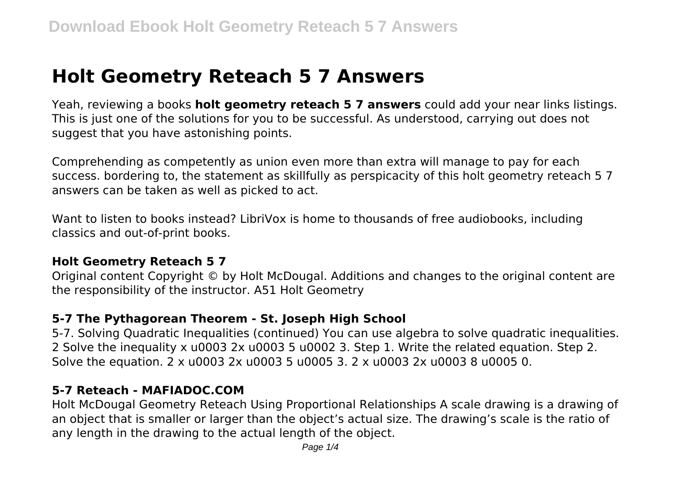# **Holt Geometry Reteach 5 7 Answers**

Yeah, reviewing a books **holt geometry reteach 5 7 answers** could add your near links listings. This is just one of the solutions for you to be successful. As understood, carrying out does not suggest that you have astonishing points.

Comprehending as competently as union even more than extra will manage to pay for each success. bordering to, the statement as skillfully as perspicacity of this holt geometry reteach 5 7 answers can be taken as well as picked to act.

Want to listen to books instead? LibriVox is home to thousands of free audiobooks, including classics and out-of-print books.

#### **Holt Geometry Reteach 5 7**

Original content Copyright © by Holt McDougal. Additions and changes to the original content are the responsibility of the instructor. A51 Holt Geometry

#### **5-7 The Pythagorean Theorem - St. Joseph High School**

5-7. Solving Quadratic Inequalities (continued) You can use algebra to solve quadratic inequalities. 2 Solve the inequality x u0003 2x u0003 5 u0002 3. Step 1. Write the related equation. Step 2. Solve the equation. 2 x u0003 2x u0003 5 u0005 3. 2 x u0003 2x u0003 8 u0005 0.

#### **5-7 Reteach - MAFIADOC.COM**

Holt McDougal Geometry Reteach Using Proportional Relationships A scale drawing is a drawing of an object that is smaller or larger than the object's actual size. The drawing's scale is the ratio of any length in the drawing to the actual length of the object.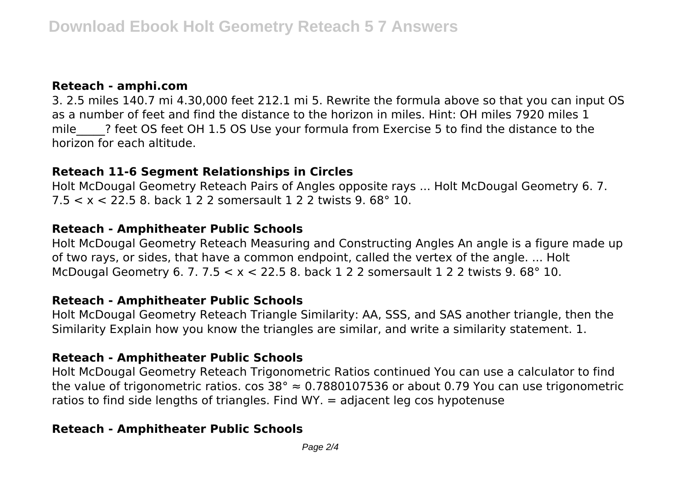### **Reteach - amphi.com**

3. 2.5 miles 140.7 mi 4.30,000 feet 212.1 mi 5. Rewrite the formula above so that you can input OS as a number of feet and find the distance to the horizon in miles. Hint: OH miles 7920 miles 1 mile 3 feet OS feet OH 1.5 OS Use your formula from Exercise 5 to find the distance to the horizon for each altitude.

## **Reteach 11-6 Segment Relationships in Circles**

Holt McDougal Geometry Reteach Pairs of Angles opposite rays ... Holt McDougal Geometry 6. 7. 7.5 < x < 22.5 8. back 1 2 2 somersault 1 2 2 twists 9. 68° 10.

# **Reteach - Amphitheater Public Schools**

Holt McDougal Geometry Reteach Measuring and Constructing Angles An angle is a figure made up of two rays, or sides, that have a common endpoint, called the vertex of the angle. ... Holt McDougal Geometry 6. 7.  $7.5 < x < 22.5$  8. back 1 2 2 somersault 1 2 2 twists 9. 68° 10.

## **Reteach - Amphitheater Public Schools**

Holt McDougal Geometry Reteach Triangle Similarity: AA, SSS, and SAS another triangle, then the Similarity Explain how you know the triangles are similar, and write a similarity statement. 1.

## **Reteach - Amphitheater Public Schools**

Holt McDougal Geometry Reteach Trigonometric Ratios continued You can use a calculator to find the value of trigonometric ratios. cos 38°  $\approx$  0.7880107536 or about 0.79 You can use trigonometric ratios to find side lengths of triangles. Find  $WY = 0$  adjacent leg cos hypotenuse

# **Reteach - Amphitheater Public Schools**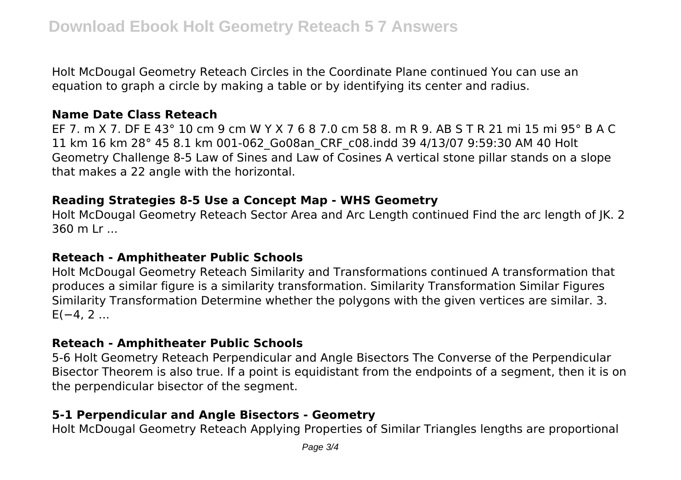Holt McDougal Geometry Reteach Circles in the Coordinate Plane continued You can use an equation to graph a circle by making a table or by identifying its center and radius.

#### **Name Date Class Reteach**

EF 7. m X 7. DF E 43° 10 cm 9 cm W Y X 7 6 8 7.0 cm 58 8. m R 9. AB S T R 21 mi 15 mi 95° B A C 11 km 16 km 28° 45 8.1 km 001-062\_Go08an\_CRF\_c08.indd 39 4/13/07 9:59:30 AM 40 Holt Geometry Challenge 8-5 Law of Sines and Law of Cosines A vertical stone pillar stands on a slope that makes a 22 angle with the horizontal.

#### **Reading Strategies 8-5 Use a Concept Map - WHS Geometry**

Holt McDougal Geometry Reteach Sector Area and Arc Length continued Find the arc length of JK. 2 360 m Lr ...

#### **Reteach - Amphitheater Public Schools**

Holt McDougal Geometry Reteach Similarity and Transformations continued A transformation that produces a similar figure is a similarity transformation. Similarity Transformation Similar Figures Similarity Transformation Determine whether the polygons with the given vertices are similar. 3.  $E(-4, 2 ...$ 

## **Reteach - Amphitheater Public Schools**

5-6 Holt Geometry Reteach Perpendicular and Angle Bisectors The Converse of the Perpendicular Bisector Theorem is also true. If a point is equidistant from the endpoints of a segment, then it is on the perpendicular bisector of the segment.

# **5-1 Perpendicular and Angle Bisectors - Geometry**

Holt McDougal Geometry Reteach Applying Properties of Similar Triangles lengths are proportional